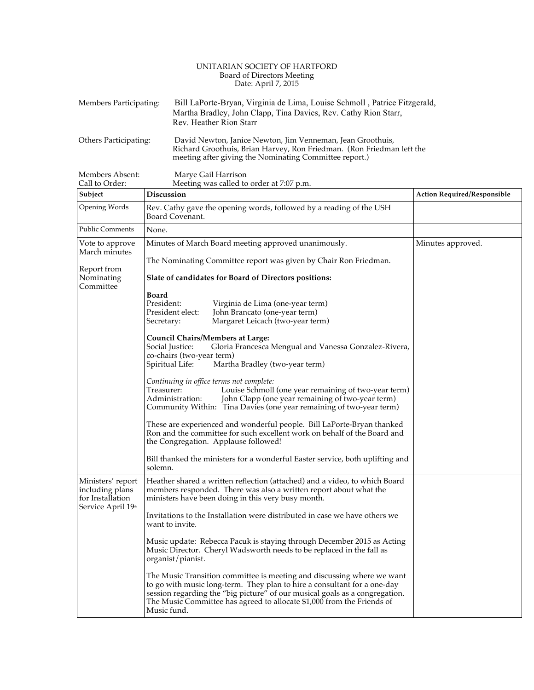## UNITARIAN SOCIETY OF HARTFORD Board of Directors Meeting Date: April 7, 2015

| Members Participating: | Bill LaPorte-Bryan, Virginia de Lima, Louise Schmoll, Patrice Fitzgerald,<br>Martha Bradley, John Clapp, Tina Davies, Rev. Cathy Rion Starr,<br>Rev. Heather Rion Starr                       |
|------------------------|-----------------------------------------------------------------------------------------------------------------------------------------------------------------------------------------------|
| Others Participating:  | David Newton, Janice Newton, Jim Venneman, Jean Groothuis,<br>Richard Groothuis, Brian Harvey, Ron Friedman. (Ron Friedman left the<br>meeting after giving the Nominating Committee report.) |

Members Absent: Marye Gail Harrison<br>
Call to Order: Meeting was called to Meeting was called to order at 7:07 p.m.

| Subject                                                                        | Discussion                                                                                                                                                                                                                                                                                                                 | Action Required/Responsible |
|--------------------------------------------------------------------------------|----------------------------------------------------------------------------------------------------------------------------------------------------------------------------------------------------------------------------------------------------------------------------------------------------------------------------|-----------------------------|
| Opening Words                                                                  | Rev. Cathy gave the opening words, followed by a reading of the USH<br>Board Covenant.                                                                                                                                                                                                                                     |                             |
| <b>Public Comments</b>                                                         | None.                                                                                                                                                                                                                                                                                                                      |                             |
| Vote to approve<br>March minutes                                               | Minutes of March Board meeting approved unanimously.                                                                                                                                                                                                                                                                       | Minutes approved.           |
| Report from<br>Nominating<br>Committee                                         | The Nominating Committee report was given by Chair Ron Friedman.                                                                                                                                                                                                                                                           |                             |
|                                                                                | Slate of candidates for Board of Directors positions:                                                                                                                                                                                                                                                                      |                             |
|                                                                                | <b>Board</b><br>President:<br>Virginia de Lima (one-year term)<br>President elect:<br>John Brancato (one-year term)<br>Secretary:<br>Margaret Leicach (two-year term)                                                                                                                                                      |                             |
|                                                                                | Council Chairs/Members at Large:<br>Social Justice:<br>Gloria Francesca Mengual and Vanessa Gonzalez-Rivera,<br>co-chairs (two-year term)<br>Martha Bradley (two-year term)<br>Spiritual Life:                                                                                                                             |                             |
|                                                                                | Continuing in office terms not complete:<br>Louise Schmoll (one year remaining of two-year term)<br>Treasurer:<br>Administration:<br>John Clapp (one year remaining of two-year term)<br>Community Within: Tina Davies (one year remaining of two-year term)                                                               |                             |
|                                                                                | These are experienced and wonderful people. Bill LaPorte-Bryan thanked<br>Ron and the committee for such excellent work on behalf of the Board and<br>the Congregation. Applause followed!                                                                                                                                 |                             |
|                                                                                | Bill thanked the ministers for a wonderful Easter service, both uplifting and<br>solemn.                                                                                                                                                                                                                                   |                             |
| Ministers' report<br>including plans<br>for Installation<br>Service April 19th | Heather shared a written reflection (attached) and a video, to which Board<br>members responded. There was also a written report about what the<br>ministers have been doing in this very busy month.                                                                                                                      |                             |
|                                                                                | Invitations to the Installation were distributed in case we have others we<br>want to invite.                                                                                                                                                                                                                              |                             |
|                                                                                | Music update: Rebecca Pacuk is staying through December 2015 as Acting<br>Music Director. Cheryl Wadsworth needs to be replaced in the fall as<br>organist/pianist.                                                                                                                                                        |                             |
|                                                                                | The Music Transition committee is meeting and discussing where we want<br>to go with music long-term. They plan to hire a consultant for a one-day<br>session regarding the "big picture" of our musical goals as a congregation.<br>The Music Committee has agreed to allocate \$1,000 from the Friends of<br>Music fund. |                             |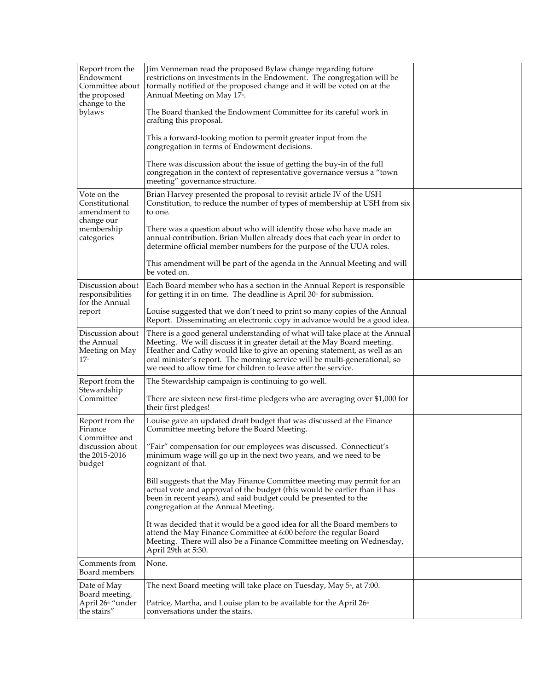| Report from the<br>Endowment<br>Committee about<br>the proposed<br>change to the<br>bylaws | Jim Venneman read the proposed Bylaw change regarding future<br>restrictions on investments in the Endowment. The congregation will be<br>formally notified of the proposed change and it will be voted on at the<br>Annual Meeting on May 17 <sup>th</sup> .<br>The Board thanked the Endowment Committee for its careful work in<br>crafting this proposal.<br>This a forward-looking motion to permit greater input from the<br>congregation in terms of Endowment decisions.<br>There was discussion about the issue of getting the buy-in of the full<br>congregation in the context of representative governance versus a "town<br>meeting" governance structure.                                                                                                                                 |  |
|--------------------------------------------------------------------------------------------|---------------------------------------------------------------------------------------------------------------------------------------------------------------------------------------------------------------------------------------------------------------------------------------------------------------------------------------------------------------------------------------------------------------------------------------------------------------------------------------------------------------------------------------------------------------------------------------------------------------------------------------------------------------------------------------------------------------------------------------------------------------------------------------------------------|--|
| Vote on the<br>Constitutional<br>amendment to<br>change our<br>membership<br>categories    | Brian Harvey presented the proposal to revisit article IV of the USH<br>Constitution, to reduce the number of types of membership at USH from six<br>to one.<br>There was a question about who will identify those who have made an<br>annual contribution. Brian Mullen already does that each year in order to<br>determine official member numbers for the purpose of the UUA roles.                                                                                                                                                                                                                                                                                                                                                                                                                 |  |
|                                                                                            | This amendment will be part of the agenda in the Annual Meeting and will<br>be voted on.                                                                                                                                                                                                                                                                                                                                                                                                                                                                                                                                                                                                                                                                                                                |  |
| Discussion about<br>responsibilities<br>for the Annual<br>report                           | Each Board member who has a section in the Annual Report is responsible<br>for getting it in on time. The deadline is April $30th$ for submission.<br>Louise suggested that we don't need to print so many copies of the Annual<br>Report. Disseminating an electronic copy in advance would be a good idea.                                                                                                                                                                                                                                                                                                                                                                                                                                                                                            |  |
| Discussion about<br>the Annual<br>Meeting on May<br>17 <sup>th</sup>                       | There is a good general understanding of what will take place at the Annual<br>Meeting. We will discuss it in greater detail at the May Board meeting.<br>Heather and Cathy would like to give an opening statement, as well as an<br>oral minister's report. The morning service will be multi-generational, so<br>we need to allow time for children to leave after the service.                                                                                                                                                                                                                                                                                                                                                                                                                      |  |
| Report from the<br>Stewardship<br>Committee                                                | The Stewardship campaign is continuing to go well.<br>There are sixteen new first-time pledgers who are averaging over \$1,000 for<br>their first pledges!                                                                                                                                                                                                                                                                                                                                                                                                                                                                                                                                                                                                                                              |  |
| Report from the<br>Finance<br>Committee and<br>discussion about<br>the 2015-2016<br>budget | Louise gave an updated draft budget that was discussed at the Finance<br>Committee meeting before the Board Meeting.<br>"Fair" compensation for our employees was discussed. Connecticut's<br>minimum wage will go up in the next two years, and we need to be<br>cognizant of that.<br>Bill suggests that the May Finance Committee meeting may permit for an<br>actual vote and approval of the budget (this would be earlier than it has<br>been in recent years), and said budget could be presented to the<br>congregation at the Annual Meeting.<br>It was decided that it would be a good idea for all the Board members to<br>attend the May Finance Committee at 6:00 before the regular Board<br>Meeting. There will also be a Finance Committee meeting on Wednesday,<br>April 29th at 5:30. |  |
| Comments from<br>Board members                                                             | None.                                                                                                                                                                                                                                                                                                                                                                                                                                                                                                                                                                                                                                                                                                                                                                                                   |  |
| Date of May<br>Board meeting,<br>April 26 <sup>th</sup> "under<br>the stairs"              | The next Board meeting will take place on Tuesday, May 5 <sup>®</sup> , at 7:00.<br>Patrice, Martha, and Louise plan to be available for the April 26 <sup>th</sup><br>conversations under the stairs.                                                                                                                                                                                                                                                                                                                                                                                                                                                                                                                                                                                                  |  |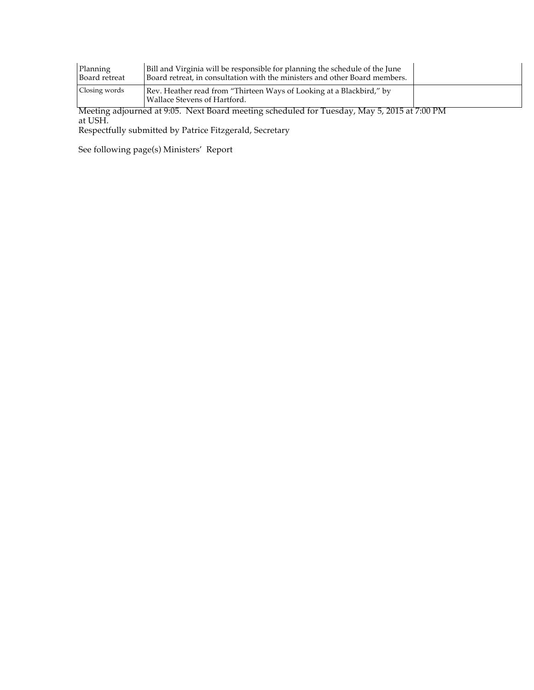| Planning<br>Board retreat | Bill and Virginia will be responsible for planning the schedule of the June<br>Board retreat, in consultation with the ministers and other Board members. |  |
|---------------------------|-----------------------------------------------------------------------------------------------------------------------------------------------------------|--|
| Closing words             | Rev. Heather read from "Thirteen Ways of Looking at a Blackbird," by<br>Wallace Stevens of Hartford.                                                      |  |

Meeting adjourned at 9:05. Next Board meeting scheduled for Tuesday, May 5, 2015 at 7:00 PM at USH.

Respectfully submitted by Patrice Fitzgerald, Secretary

See following page(s) Ministers' Report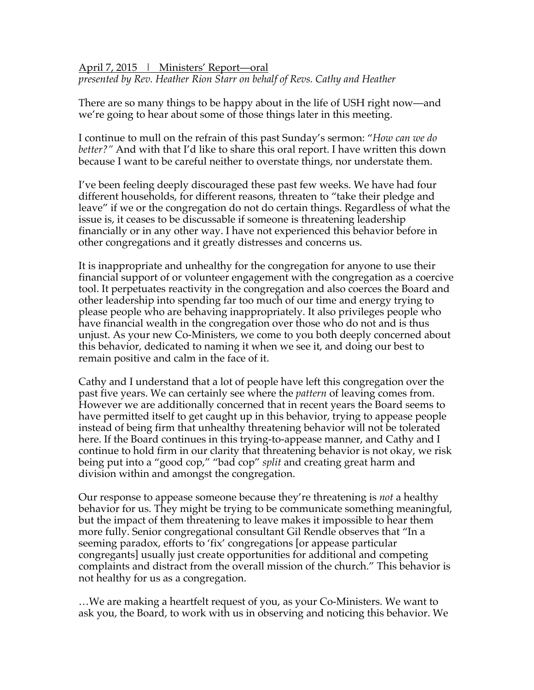April 7, 2015 | Ministers' Report—oral *presented by Rev. Heather Rion Starr on behalf of Revs. Cathy and Heather*

There are so many things to be happy about in the life of USH right now—and we're going to hear about some of those things later in this meeting.

I continue to mull on the refrain of this past Sunday's sermon: "*How can we do better?"* And with that I'd like to share this oral report. I have written this down because I want to be careful neither to overstate things, nor understate them.

I've been feeling deeply discouraged these past few weeks. We have had four different households, for different reasons, threaten to "take their pledge and leave" if we or the congregation do not do certain things. Regardless of what the issue is, it ceases to be discussable if someone is threatening leadership financially or in any other way. I have not experienced this behavior before in other congregations and it greatly distresses and concerns us.

It is inappropriate and unhealthy for the congregation for anyone to use their financial support of or volunteer engagement with the congregation as a coercive tool. It perpetuates reactivity in the congregation and also coerces the Board and other leadership into spending far too much of our time and energy trying to please people who are behaving inappropriately. It also privileges people who have financial wealth in the congregation over those who do not and is thus unjust. As your new Co-Ministers, we come to you both deeply concerned about this behavior, dedicated to naming it when we see it, and doing our best to remain positive and calm in the face of it.

Cathy and I understand that a lot of people have left this congregation over the past five years. We can certainly see where the *pattern* of leaving comes from. However we are additionally concerned that in recent years the Board seems to have permitted itself to get caught up in this behavior, trying to appease people instead of being firm that unhealthy threatening behavior will not be tolerated here. If the Board continues in this trying-to-appease manner, and Cathy and I continue to hold firm in our clarity that threatening behavior is not okay, we risk being put into a "good cop," "bad cop" *split* and creating great harm and division within and amongst the congregation.

Our response to appease someone because they're threatening is *not* a healthy behavior for us. They might be trying to be communicate something meaningful, but the impact of them threatening to leave makes it impossible to hear them more fully. Senior congregational consultant Gil Rendle observes that "In a seeming paradox, efforts to 'fix' congregations [or appease particular congregants] usually just create opportunities for additional and competing complaints and distract from the overall mission of the church." This behavior is not healthy for us as a congregation.

…We are making a heartfelt request of you, as your Co-Ministers. We want to ask you, the Board, to work with us in observing and noticing this behavior. We